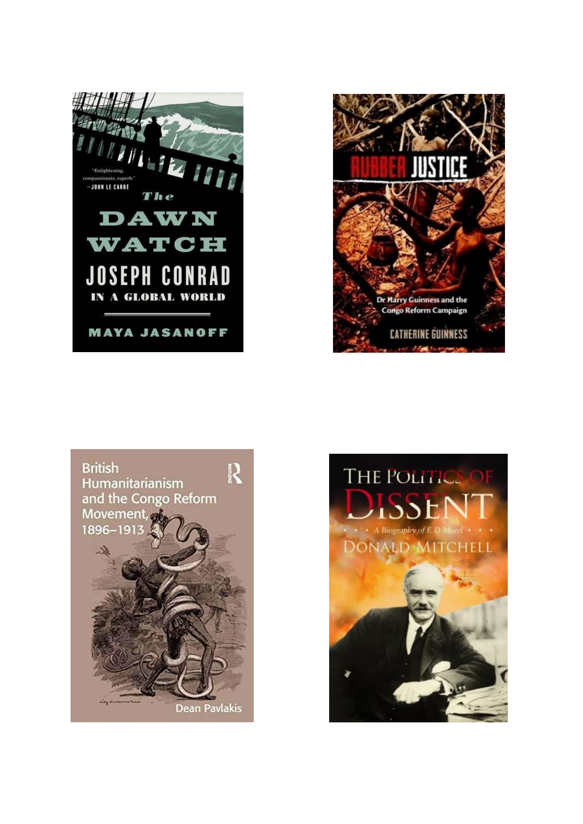





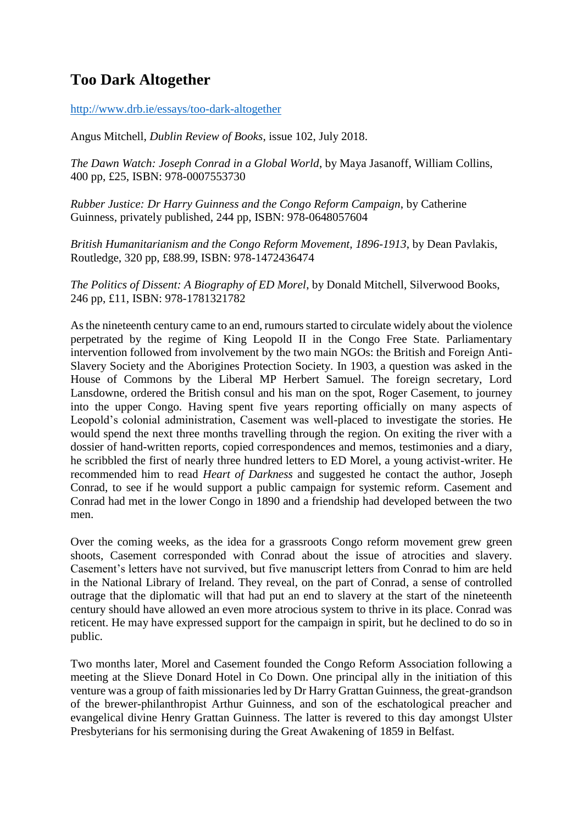## **Too Dark Altogether**

<http://www.drb.ie/essays/too-dark-altogether>

Angus Mitchell, *Dublin Review of Books*, issue 102, July 2018.

*The Dawn Watch: Joseph Conrad in a Global World*, by Maya Jasanoff, William Collins, 400 pp, £25, ISBN: 978-0007553730

*Rubber Justice: Dr Harry Guinness and the Congo Reform Campaign*, by Catherine Guinness, privately published, 244 pp, ISBN: 978-0648057604

*British Humanitarianism and the Congo Reform Movement, 1896-1913*, by Dean Pavlakis, Routledge, 320 pp, £88.99, ISBN: 978-1472436474

*The Politics of Dissent: A Biography of ED Morel*, by Donald Mitchell, Silverwood Books, 246 pp, £11, ISBN: 978-1781321782

As the nineteenth century came to an end, rumours started to circulate widely about the violence perpetrated by the regime of King Leopold II in the Congo Free State. Parliamentary intervention followed from involvement by the two main NGOs: the British and Foreign Anti-Slavery Society and the Aborigines Protection Society. In 1903, a question was asked in the House of Commons by the Liberal MP Herbert Samuel. The foreign secretary, Lord Lansdowne, ordered the British consul and his man on the spot, Roger Casement, to journey into the upper Congo. Having spent five years reporting officially on many aspects of Leopold's colonial administration, Casement was well-placed to investigate the stories. He would spend the next three months travelling through the region. On exiting the river with a dossier of hand-written reports, copied correspondences and memos, testimonies and a diary, he scribbled the first of nearly three hundred letters to ED Morel, a young activist-writer. He recommended him to read *Heart of Darkness* and suggested he contact the author, Joseph Conrad, to see if he would support a public campaign for systemic reform. Casement and Conrad had met in the lower Congo in 1890 and a friendship had developed between the two men.

Over the coming weeks, as the idea for a grassroots Congo reform movement grew green shoots, Casement corresponded with Conrad about the issue of atrocities and slavery. Casement's letters have not survived, but five manuscript letters from Conrad to him are held in the National Library of Ireland. They reveal, on the part of Conrad, a sense of controlled outrage that the diplomatic will that had put an end to slavery at the start of the nineteenth century should have allowed an even more atrocious system to thrive in its place. Conrad was reticent. He may have expressed support for the campaign in spirit, but he declined to do so in public.

Two months later, Morel and Casement founded the Congo Reform Association following a meeting at the Slieve Donard Hotel in Co Down. One principal ally in the initiation of this venture was a group of faith missionaries led by Dr Harry Grattan Guinness, the great-grandson of the brewer-philanthropist Arthur Guinness, and son of the eschatological preacher and evangelical divine Henry Grattan Guinness. The latter is revered to this day amongst Ulster Presbyterians for his sermonising during the Great Awakening of 1859 in Belfast.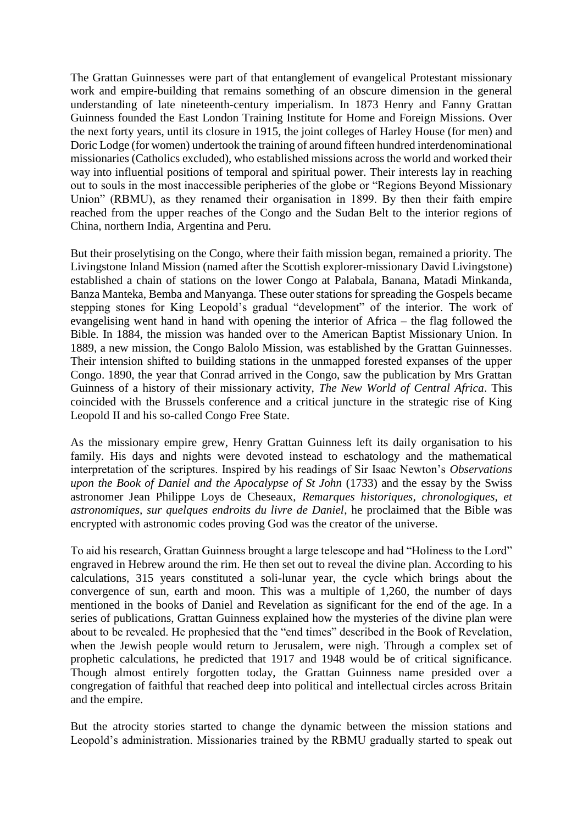The Grattan Guinnesses were part of that entanglement of evangelical Protestant missionary work and empire-building that remains something of an obscure dimension in the general understanding of late nineteenth-century imperialism. In 1873 Henry and Fanny Grattan Guinness founded the East London Training Institute for Home and Foreign Missions. Over the next forty years, until its closure in 1915, the joint colleges of Harley House (for men) and Doric Lodge (for women) undertook the training of around fifteen hundred interdenominational missionaries (Catholics excluded), who established missions across the world and worked their way into influential positions of temporal and spiritual power. Their interests lay in reaching out to souls in the most inaccessible peripheries of the globe or "Regions Beyond Missionary Union" (RBMU), as they renamed their organisation in 1899. By then their faith empire reached from the upper reaches of the Congo and the Sudan Belt to the interior regions of China, northern India, Argentina and Peru.

But their proselytising on the Congo, where their faith mission began, remained a priority. The Livingstone Inland Mission (named after the Scottish explorer-missionary David Livingstone) established a chain of stations on the lower Congo at Palabala, Banana, Matadi Minkanda, Banza Manteka, Bemba and Manyanga. These outer stations for spreading the Gospels became stepping stones for King Leopold's gradual "development" of the interior. The work of evangelising went hand in hand with opening the interior of Africa – the flag followed the Bible. In 1884, the mission was handed over to the American Baptist Missionary Union. In 1889, a new mission, the Congo Balolo Mission, was established by the Grattan Guinnesses. Their intension shifted to building stations in the unmapped forested expanses of the upper Congo. 1890, the year that Conrad arrived in the Congo, saw the publication by Mrs Grattan Guinness of a history of their missionary activity, *The New World of Central Africa*. This coincided with the Brussels conference and a critical juncture in the strategic rise of King Leopold II and his so-called Congo Free State.

As the missionary empire grew, Henry Grattan Guinness left its daily organisation to his family. His days and nights were devoted instead to eschatology and the mathematical interpretation of the scriptures. Inspired by his readings of Sir Isaac Newton's *Observations upon the Book of Daniel and the Apocalypse of St John* (1733) and the essay by the Swiss astronomer Jean Philippe Loys de Cheseaux, *Remarques historiques, chronologiques, et astronomiques, sur quelques endroits du livre de Daniel*, he proclaimed that the Bible was encrypted with astronomic codes proving God was the creator of the universe.

To aid his research, Grattan Guinness brought a large telescope and had "Holiness to the Lord" engraved in Hebrew around the rim. He then set out to reveal the divine plan. According to his calculations, 315 years constituted a soli-lunar year, the cycle which brings about the convergence of sun, earth and moon. This was a multiple of 1,260, the number of days mentioned in the books of Daniel and Revelation as significant for the end of the age. In a series of publications, Grattan Guinness explained how the mysteries of the divine plan were about to be revealed. He prophesied that the "end times" described in the Book of Revelation, when the Jewish people would return to Jerusalem, were nigh. Through a complex set of prophetic calculations, he predicted that 1917 and 1948 would be of critical significance. Though almost entirely forgotten today, the Grattan Guinness name presided over a congregation of faithful that reached deep into political and intellectual circles across Britain and the empire.

But the atrocity stories started to change the dynamic between the mission stations and Leopold's administration. Missionaries trained by the RBMU gradually started to speak out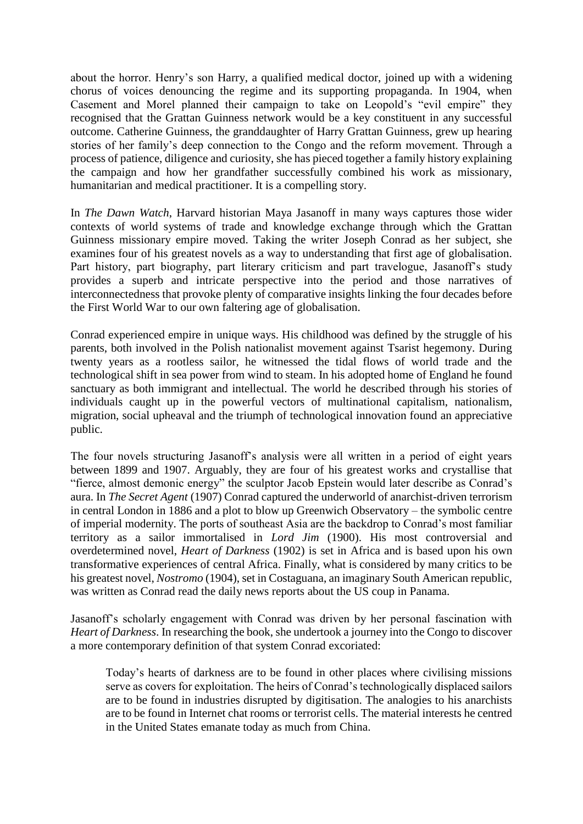about the horror. Henry's son Harry, a qualified medical doctor, joined up with a widening chorus of voices denouncing the regime and its supporting propaganda. In 1904, when Casement and Morel planned their campaign to take on Leopold's "evil empire" they recognised that the Grattan Guinness network would be a key constituent in any successful outcome. Catherine Guinness, the granddaughter of Harry Grattan Guinness, grew up hearing stories of her family's deep connection to the Congo and the reform movement. Through a process of patience, diligence and curiosity, she has pieced together a family history explaining the campaign and how her grandfather successfully combined his work as missionary, humanitarian and medical practitioner. It is a compelling story.

In *The Dawn Watch*, Harvard historian Maya Jasanoff in many ways captures those wider contexts of world systems of trade and knowledge exchange through which the Grattan Guinness missionary empire moved. Taking the writer Joseph Conrad as her subject, she examines four of his greatest novels as a way to understanding that first age of globalisation. Part history, part biography, part literary criticism and part travelogue, Jasanoff's study provides a superb and intricate perspective into the period and those narratives of interconnectedness that provoke plenty of comparative insights linking the four decades before the First World War to our own faltering age of globalisation.

Conrad experienced empire in unique ways. His childhood was defined by the struggle of his parents, both involved in the Polish nationalist movement against Tsarist hegemony. During twenty years as a rootless sailor, he witnessed the tidal flows of world trade and the technological shift in sea power from wind to steam. In his adopted home of England he found sanctuary as both immigrant and intellectual. The world he described through his stories of individuals caught up in the powerful vectors of multinational capitalism, nationalism, migration, social upheaval and the triumph of technological innovation found an appreciative public.

The four novels structuring Jasanoff's analysis were all written in a period of eight years between 1899 and 1907. Arguably, they are four of his greatest works and crystallise that "fierce, almost demonic energy" the sculptor Jacob Epstein would later describe as Conrad's aura. In *The Secret Agent* (1907) Conrad captured the underworld of anarchist-driven terrorism in central London in 1886 and a plot to blow up Greenwich Observatory – the symbolic centre of imperial modernity. The ports of southeast Asia are the backdrop to Conrad's most familiar territory as a sailor immortalised in *Lord Jim* (1900). His most controversial and overdetermined novel, *Heart of Darkness* (1902) is set in Africa and is based upon his own transformative experiences of central Africa. Finally, what is considered by many critics to be his greatest novel, *Nostromo* (1904), set in Costaguana, an imaginary South American republic, was written as Conrad read the daily news reports about the US coup in Panama.

Jasanoff's scholarly engagement with Conrad was driven by her personal fascination with *Heart of Darkness*. In researching the book, she undertook a journey into the Congo to discover a more contemporary definition of that system Conrad excoriated:

Today's hearts of darkness are to be found in other places where civilising missions serve as covers for exploitation. The heirs of Conrad's technologically displaced sailors are to be found in industries disrupted by digitisation. The analogies to his anarchists are to be found in Internet chat rooms or terrorist cells. The material interests he centred in the United States emanate today as much from China.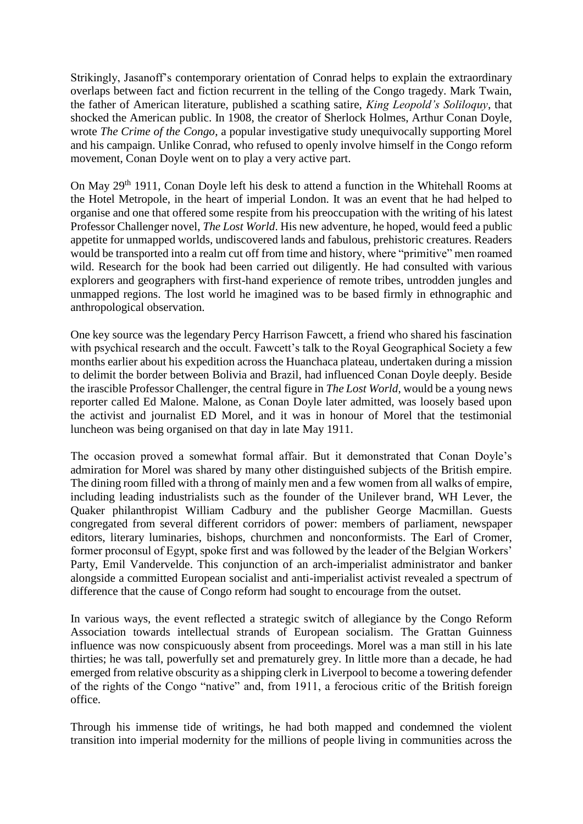Strikingly, Jasanoff's contemporary orientation of Conrad helps to explain the extraordinary overlaps between fact and fiction recurrent in the telling of the Congo tragedy. Mark Twain, the father of American literature, published a scathing satire, *King Leopold's Soliloquy*, that shocked the American public. In 1908, the creator of Sherlock Holmes, Arthur Conan Doyle, wrote *The Crime of the Congo*, a popular investigative study unequivocally supporting Morel and his campaign. Unlike Conrad, who refused to openly involve himself in the Congo reform movement, Conan Doyle went on to play a very active part.

On May 29th 1911, Conan Doyle left his desk to attend a function in the Whitehall Rooms at the Hotel Metropole, in the heart of imperial London. It was an event that he had helped to organise and one that offered some respite from his preoccupation with the writing of his latest Professor Challenger novel, *The Lost World*. His new adventure, he hoped, would feed a public appetite for unmapped worlds, undiscovered lands and fabulous, prehistoric creatures. Readers would be transported into a realm cut off from time and history, where "primitive" men roamed wild. Research for the book had been carried out diligently. He had consulted with various explorers and geographers with first-hand experience of remote tribes, untrodden jungles and unmapped regions. The lost world he imagined was to be based firmly in ethnographic and anthropological observation.

One key source was the legendary Percy Harrison Fawcett, a friend who shared his fascination with psychical research and the occult. Fawcett's talk to the Royal Geographical Society a few months earlier about his expedition across the Huanchaca plateau, undertaken during a mission to delimit the border between Bolivia and Brazil, had influenced Conan Doyle deeply. Beside the irascible Professor Challenger, the central figure in *The Lost World*, would be a young news reporter called Ed Malone. Malone, as Conan Doyle later admitted, was loosely based upon the activist and journalist ED Morel, and it was in honour of Morel that the testimonial luncheon was being organised on that day in late May 1911.

The occasion proved a somewhat formal affair. But it demonstrated that Conan Doyle's admiration for Morel was shared by many other distinguished subjects of the British empire. The dining room filled with a throng of mainly men and a few women from all walks of empire, including leading industrialists such as the founder of the Unilever brand, WH Lever, the Quaker philanthropist William Cadbury and the publisher George Macmillan. Guests congregated from several different corridors of power: members of parliament, newspaper editors, literary luminaries, bishops, churchmen and nonconformists. The Earl of Cromer, former proconsul of Egypt, spoke first and was followed by the leader of the Belgian Workers' Party, Emil Vandervelde. This conjunction of an arch-imperialist administrator and banker alongside a committed European socialist and anti-imperialist activist revealed a spectrum of difference that the cause of Congo reform had sought to encourage from the outset.

In various ways, the event reflected a strategic switch of allegiance by the Congo Reform Association towards intellectual strands of European socialism. The Grattan Guinness influence was now conspicuously absent from proceedings. Morel was a man still in his late thirties; he was tall, powerfully set and prematurely grey. In little more than a decade, he had emerged from relative obscurity as a shipping clerk in Liverpool to become a towering defender of the rights of the Congo "native" and, from 1911, a ferocious critic of the British foreign office.

Through his immense tide of writings, he had both mapped and condemned the violent transition into imperial modernity for the millions of people living in communities across the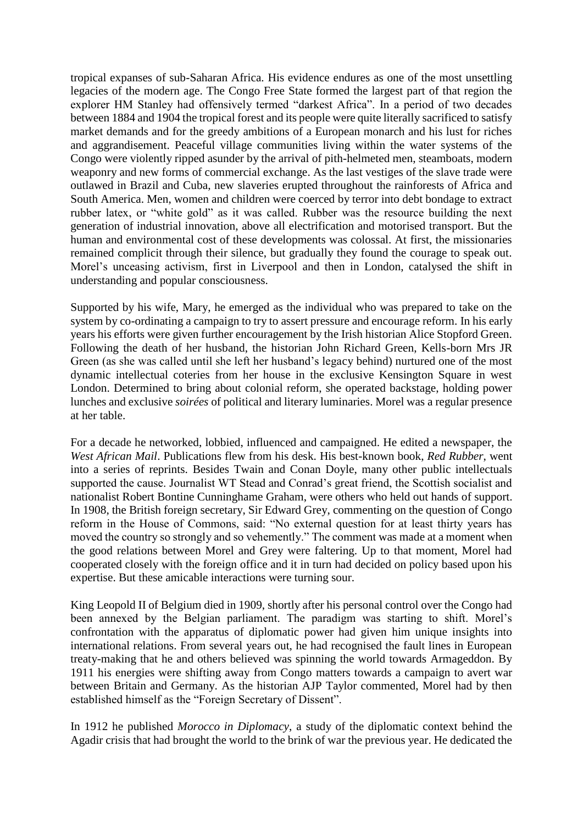tropical expanses of sub-Saharan Africa. His evidence endures as one of the most unsettling legacies of the modern age. The Congo Free State formed the largest part of that region the explorer HM Stanley had offensively termed "darkest Africa". In a period of two decades between 1884 and 1904 the tropical forest and its people were quite literally sacrificed to satisfy market demands and for the greedy ambitions of a European monarch and his lust for riches and aggrandisement. Peaceful village communities living within the water systems of the Congo were violently ripped asunder by the arrival of pith-helmeted men, steamboats, modern weaponry and new forms of commercial exchange. As the last vestiges of the slave trade were outlawed in Brazil and Cuba, new slaveries erupted throughout the rainforests of Africa and South America. Men, women and children were coerced by terror into debt bondage to extract rubber latex, or "white gold" as it was called. Rubber was the resource building the next generation of industrial innovation, above all electrification and motorised transport. But the human and environmental cost of these developments was colossal. At first, the missionaries remained complicit through their silence, but gradually they found the courage to speak out. Morel's unceasing activism, first in Liverpool and then in London, catalysed the shift in understanding and popular consciousness.

Supported by his wife, Mary, he emerged as the individual who was prepared to take on the system by co-ordinating a campaign to try to assert pressure and encourage reform. In his early years his efforts were given further encouragement by the Irish historian Alice Stopford Green. Following the death of her husband, the historian John Richard Green, Kells-born Mrs JR Green (as she was called until she left her husband's legacy behind) nurtured one of the most dynamic intellectual coteries from her house in the exclusive Kensington Square in west London. Determined to bring about colonial reform, she operated backstage, holding power lunches and exclusive *soirées* of political and literary luminaries. Morel was a regular presence at her table.

For a decade he networked, lobbied, influenced and campaigned. He edited a newspaper, the *West African Mail*. Publications flew from his desk. His best-known book, *Red Rubber*, went into a series of reprints. Besides Twain and Conan Doyle, many other public intellectuals supported the cause. Journalist WT Stead and Conrad's great friend, the Scottish socialist and nationalist Robert Bontine Cunninghame Graham, were others who held out hands of support. In 1908, the British foreign secretary, Sir Edward Grey, commenting on the question of Congo reform in the House of Commons, said: "No external question for at least thirty years has moved the country so strongly and so vehemently." The comment was made at a moment when the good relations between Morel and Grey were faltering. Up to that moment, Morel had cooperated closely with the foreign office and it in turn had decided on policy based upon his expertise. But these amicable interactions were turning sour.

King Leopold II of Belgium died in 1909, shortly after his personal control over the Congo had been annexed by the Belgian parliament. The paradigm was starting to shift. Morel's confrontation with the apparatus of diplomatic power had given him unique insights into international relations. From several years out, he had recognised the fault lines in European treaty-making that he and others believed was spinning the world towards Armageddon. By 1911 his energies were shifting away from Congo matters towards a campaign to avert war between Britain and Germany. As the historian AJP Taylor commented, Morel had by then established himself as the "Foreign Secretary of Dissent".

In 1912 he published *Morocco in Diplomacy*, a study of the diplomatic context behind the Agadir crisis that had brought the world to the brink of war the previous year. He dedicated the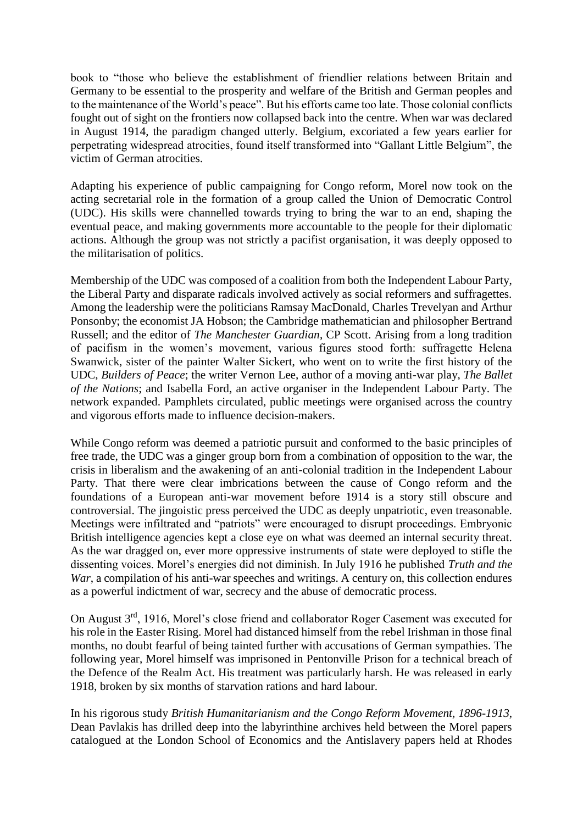book to "those who believe the establishment of friendlier relations between Britain and Germany to be essential to the prosperity and welfare of the British and German peoples and to the maintenance of the World's peace". But his efforts came too late. Those colonial conflicts fought out of sight on the frontiers now collapsed back into the centre. When war was declared in August 1914, the paradigm changed utterly. Belgium, excoriated a few years earlier for perpetrating widespread atrocities, found itself transformed into "Gallant Little Belgium", the victim of German atrocities.

Adapting his experience of public campaigning for Congo reform, Morel now took on the acting secretarial role in the formation of a group called the Union of Democratic Control (UDC). His skills were channelled towards trying to bring the war to an end, shaping the eventual peace, and making governments more accountable to the people for their diplomatic actions. Although the group was not strictly a pacifist organisation, it was deeply opposed to the militarisation of politics.

Membership of the UDC was composed of a coalition from both the Independent Labour Party, the Liberal Party and disparate radicals involved actively as social reformers and suffragettes. Among the leadership were the politicians Ramsay MacDonald, Charles Trevelyan and Arthur Ponsonby; the economist JA Hobson; the Cambridge mathematician and philosopher Bertrand Russell; and the editor of *The Manchester Guardian*, CP Scott. Arising from a long tradition of pacifism in the women's movement, various figures stood forth: suffragette Helena Swanwick, sister of the painter Walter Sickert, who went on to write the first history of the UDC, *Builders of Peace*; the writer Vernon Lee, author of a moving anti-war play, *The Ballet of the Nations*; and Isabella Ford, an active organiser in the Independent Labour Party. The network expanded. Pamphlets circulated, public meetings were organised across the country and vigorous efforts made to influence decision-makers.

While Congo reform was deemed a patriotic pursuit and conformed to the basic principles of free trade, the UDC was a ginger group born from a combination of opposition to the war, the crisis in liberalism and the awakening of an anti-colonial tradition in the Independent Labour Party. That there were clear imbrications between the cause of Congo reform and the foundations of a European anti-war movement before 1914 is a story still obscure and controversial. The jingoistic press perceived the UDC as deeply unpatriotic, even treasonable. Meetings were infiltrated and "patriots" were encouraged to disrupt proceedings. Embryonic British intelligence agencies kept a close eye on what was deemed an internal security threat. As the war dragged on, ever more oppressive instruments of state were deployed to stifle the dissenting voices. Morel's energies did not diminish. In July 1916 he published *Truth and the War*, a compilation of his anti-war speeches and writings. A century on, this collection endures as a powerful indictment of war, secrecy and the abuse of democratic process.

On August 3rd, 1916, Morel's close friend and collaborator Roger Casement was executed for his role in the Easter Rising. Morel had distanced himself from the rebel Irishman in those final months, no doubt fearful of being tainted further with accusations of German sympathies. The following year, Morel himself was imprisoned in Pentonville Prison for a technical breach of the Defence of the Realm Act. His treatment was particularly harsh. He was released in early 1918, broken by six months of starvation rations and hard labour.

In his rigorous study *British Humanitarianism and the Congo Reform Movement, 1896-1913*, Dean Pavlakis has drilled deep into the labyrinthine archives held between the Morel papers catalogued at the London School of Economics and the Antislavery papers held at Rhodes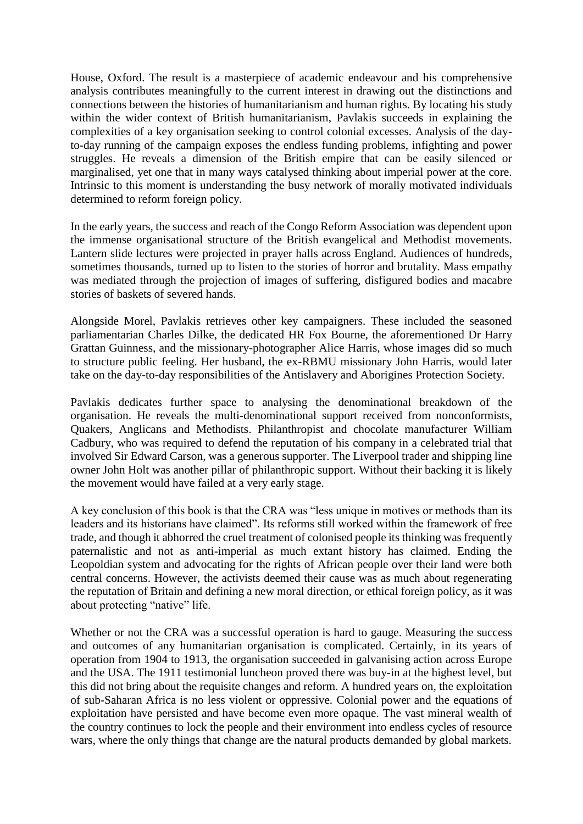House, Oxford. The result is a masterpiece of academic endeavour and his comprehensive analysis contributes meaningfully to the current interest in drawing out the distinctions and connections between the histories of humanitarianism and human rights. By locating his study within the wider context of British humanitarianism, Pavlakis succeeds in explaining the complexities of a key organisation seeking to control colonial excesses. Analysis of the dayto-day running of the campaign exposes the endless funding problems, infighting and power struggles. He reveals a dimension of the British empire that can be easily silenced or marginalised, yet one that in many ways catalysed thinking about imperial power at the core. Intrinsic to this moment is understanding the busy network of morally motivated individuals determined to reform foreign policy.

In the early years, the success and reach of the Congo Reform Association was dependent upon the immense organisational structure of the British evangelical and Methodist movements. Lantern slide lectures were projected in prayer halls across England. Audiences of hundreds, sometimes thousands, turned up to listen to the stories of horror and brutality. Mass empathy was mediated through the projection of images of suffering, disfigured bodies and macabre stories of baskets of severed hands.

Alongside Morel, Pavlakis retrieves other key campaigners. These included the seasoned parliamentarian Charles Dilke, the dedicated HR Fox Bourne, the aforementioned Dr Harry Grattan Guinness, and the missionary-photographer Alice Harris, whose images did so much to structure public feeling. Her husband, the ex-RBMU missionary John Harris, would later take on the day-to-day responsibilities of the Antislavery and Aborigines Protection Society.

Pavlakis dedicates further space to analysing the denominational breakdown of the organisation. He reveals the multi-denominational support received from nonconformists, Quakers, Anglicans and Methodists. Philanthropist and chocolate manufacturer William Cadbury, who was required to defend the reputation of his company in a celebrated trial that involved Sir Edward Carson, was a generous supporter. The Liverpool trader and shipping line owner John Holt was another pillar of philanthropic support. Without their backing it is likely the movement would have failed at a very early stage.

A key conclusion of this book is that the CRA was "less unique in motives or methods than its leaders and its historians have claimed". Its reforms still worked within the framework of free trade, and though it abhorred the cruel treatment of colonised people its thinking was frequently paternalistic and not as anti-imperial as much extant history has claimed. Ending the Leopoldian system and advocating for the rights of African people over their land were both central concerns. However, the activists deemed their cause was as much about regenerating the reputation of Britain and defining a new moral direction, or ethical foreign policy, as it was about protecting "native" life.

Whether or not the CRA was a successful operation is hard to gauge. Measuring the success and outcomes of any humanitarian organisation is complicated. Certainly, in its years of operation from 1904 to 1913, the organisation succeeded in galvanising action across Europe and the USA. The 1911 testimonial luncheon proved there was buy-in at the highest level, but this did not bring about the requisite changes and reform. A hundred years on, the exploitation of sub-Saharan Africa is no less violent or oppressive. Colonial power and the equations of exploitation have persisted and have become even more opaque. The vast mineral wealth of the country continues to lock the people and their environment into endless cycles of resource wars, where the only things that change are the natural products demanded by global markets.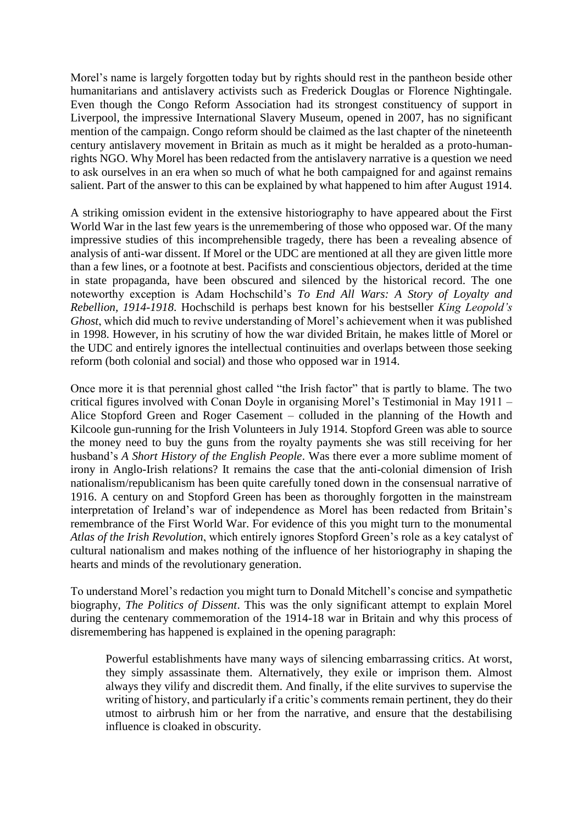Morel's name is largely forgotten today but by rights should rest in the pantheon beside other humanitarians and antislavery activists such as Frederick Douglas or Florence Nightingale. Even though the Congo Reform Association had its strongest constituency of support in Liverpool, the impressive International Slavery Museum, opened in 2007, has no significant mention of the campaign. Congo reform should be claimed as the last chapter of the nineteenth century antislavery movement in Britain as much as it might be heralded as a proto-humanrights NGO. Why Morel has been redacted from the antislavery narrative is a question we need to ask ourselves in an era when so much of what he both campaigned for and against remains salient. Part of the answer to this can be explained by what happened to him after August 1914.

A striking omission evident in the extensive historiography to have appeared about the First World War in the last few years is the unremembering of those who opposed war. Of the many impressive studies of this incomprehensible tragedy, there has been a revealing absence of analysis of anti-war dissent. If Morel or the UDC are mentioned at all they are given little more than a few lines, or a footnote at best. Pacifists and conscientious objectors, derided at the time in state propaganda, have been obscured and silenced by the historical record. The one noteworthy exception is Adam Hochschild's *To End All Wars: A Story of Loyalty and Rebellion, 1914-1918*. Hochschild is perhaps best known for his bestseller *King Leopold's Ghost*, which did much to revive understanding of Morel's achievement when it was published in 1998. However, in his scrutiny of how the war divided Britain, he makes little of Morel or the UDC and entirely ignores the intellectual continuities and overlaps between those seeking reform (both colonial and social) and those who opposed war in 1914.

Once more it is that perennial ghost called "the Irish factor" that is partly to blame. The two critical figures involved with Conan Doyle in organising Morel's Testimonial in May 1911 – Alice Stopford Green and Roger Casement – colluded in the planning of the Howth and Kilcoole gun-running for the Irish Volunteers in July 1914. Stopford Green was able to source the money need to buy the guns from the royalty payments she was still receiving for her husband's *A Short History of the English People*. Was there ever a more sublime moment of irony in Anglo-Irish relations? It remains the case that the anti-colonial dimension of Irish nationalism/republicanism has been quite carefully toned down in the consensual narrative of 1916. A century on and Stopford Green has been as thoroughly forgotten in the mainstream interpretation of Ireland's war of independence as Morel has been redacted from Britain's remembrance of the First World War. For evidence of this you might turn to the monumental *Atlas of the Irish Revolution*, which entirely ignores Stopford Green's role as a key catalyst of cultural nationalism and makes nothing of the influence of her historiography in shaping the hearts and minds of the revolutionary generation.

To understand Morel's redaction you might turn to Donald Mitchell's concise and sympathetic biography, *The Politics of Dissent*. This was the only significant attempt to explain Morel during the centenary commemoration of the 1914-18 war in Britain and why this process of disremembering has happened is explained in the opening paragraph:

Powerful establishments have many ways of silencing embarrassing critics. At worst, they simply assassinate them. Alternatively, they exile or imprison them. Almost always they vilify and discredit them. And finally, if the elite survives to supervise the writing of history, and particularly if a critic's comments remain pertinent, they do their utmost to airbrush him or her from the narrative, and ensure that the destabilising influence is cloaked in obscurity.